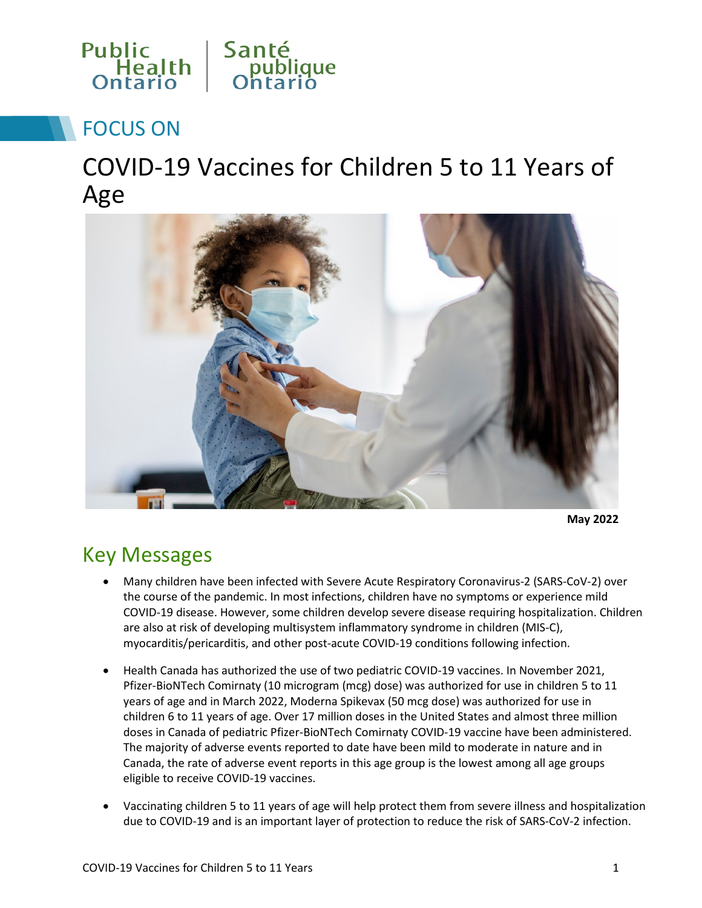

# FOCUS ON

COVID-19 Vaccines for Children 5 to 11 Years of Age



**May 2022**

### Key Messages

- Many children have been infected with Severe Acute Respiratory Coronavirus-2 (SARS-CoV-2) over the course of the pandemic. In most infections, children have no symptoms or experience mild COVID-19 disease. However, some children develop severe disease requiring hospitalization. Children are also at risk of developing multisystem inflammatory syndrome in children (MIS-C), myocarditis/pericarditis, and other post-acute COVID-19 conditions following infection.
- Health Canada has authorized the use of two pediatric COVID-19 vaccines. In November 2021, Pfizer-BioNTech Comirnaty (10 microgram (mcg) dose) was authorized for use in children 5 to 11 years of age and in March 2022, Moderna Spikevax (50 mcg dose) was authorized for use in children 6 to 11 years of age. Over 17 million doses in the United States and almost three million doses in Canada of pediatric Pfizer-BioNTech Comirnaty COVID-19 vaccine have been administered. The majority of adverse events reported to date have been mild to moderate in nature and in Canada, the rate of adverse event reports in this age group is the lowest among all age groups eligible to receive COVID-19 vaccines.
- Vaccinating children 5 to 11 years of age will help protect them from severe illness and hospitalization due to COVID-19 and is an important layer of protection to reduce the risk of SARS-CoV-2 infection.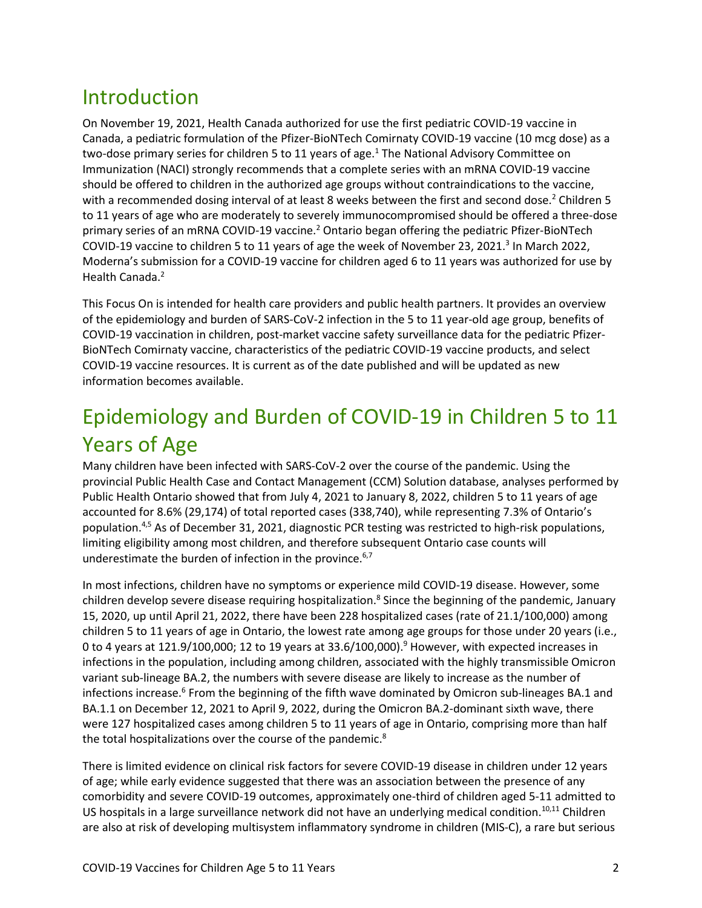## Introduction

On November 19, 2021, Health Canada authorized for use the first pediatric COVID-19 vaccine in Canada, a pediatric formulation of the Pfizer-BioNTech Comirnaty COVID-19 vaccine (10 mcg dose) as a two-dose primary series for children 5 to 11 years of age.<sup>1</sup> The National Advisory Committee on Immunization (NACI) strongly recommends that a complete series with an mRNA COVID-19 vaccine should be offered to children in the authorized age groups without contraindications to the vaccine, with a recommended dosing interval of at least 8 weeks between the first and second dose.<sup>2</sup> Children 5 to 11 years of age who are moderately to severely immunocompromised should be offered a three-dose primary series of an mRNA COVID-19 vaccine.2 Ontario began offering the pediatric Pfizer-BioNTech COVID-19 vaccine to children 5 to 11 years of age the week of November 23, 2021.<sup>3</sup> In March 2022, Moderna's submission for a COVID-19 vaccine for children aged 6 to 11 years was authorized for use by Health Canada. 2

This Focus On is intended for health care providers and public health partners. It provides an overview of the epidemiology and burden of SARS-CoV-2 infection in the 5 to 11 year-old age group, benefits of COVID-19 vaccination in children, post-market vaccine safety surveillance data for the pediatric Pfizer-BioNTech Comirnaty vaccine, characteristics of the pediatric COVID-19 vaccine products, and select COVID-19 vaccine resources. It is current as of the date published and will be updated as new information becomes available.

# Epidemiology and Burden of COVID-19 in Children 5 to 11 Years of Age

Many children have been infected with SARS-CoV-2 over the course of the pandemic. Using the provincial Public Health Case and Contact Management (CCM) Solution database, analyses performed by Public Health Ontario showed that from July 4, 2021 to January 8, 2022, children 5 to 11 years of age accounted for 8.6% (29,174) of total reported cases (338,740), while representing 7.3% of Ontario's population.4,5 As of December 31, 2021, diagnostic PCR testing was restricted to high-risk populations, limiting eligibility among most children, and therefore subsequent Ontario case counts will underestimate the burden of infection in the province. 6,7

In most infections, children have no symptoms or experience mild COVID-19 disease. However, some children develop severe disease requiring hospitalization.<sup>8</sup> Since the beginning of the pandemic, January 15, 2020, up until April 21, 2022, there have been 228 hospitalized cases (rate of 21.1/100,000) among children 5 to 11 years of age in Ontario, the lowest rate among age groups for those under 20 years (i.e., 0 to 4 years at  $121.9/100,000$ ; 12 to 19 years at  $33.6/100,000$ .<sup>9</sup> However, with expected increases in infections in the population, including among children, associated with the highly transmissible Omicron variant sub-lineage BA.2, the numbers with severe disease are likely to increase as the number of infections increase. <sup>6</sup> From the beginning of the fifth wave dominated by Omicron sub-lineages BA.1 and BA.1.1 on December 12, 2021 to April 9, 2022, during the Omicron BA.2-dominant sixth wave, there were 127 hospitalized cases among children 5 to 11 years of age in Ontario, comprising more than half the total hospitalizations over the course of the pandemic.<sup>8</sup>

There is limited evidence on clinical risk factors for severe COVID-19 disease in children under 12 years of age; while early evidence suggested that there was an association between the presence of any comorbidity and severe COVID-19 outcomes, approximately one-third of children aged 5-11 admitted to US hospitals in a large surveillance network did not have an underlying medical condition.<sup>10,11</sup> Children are also at risk of developing multisystem inflammatory syndrome in children (MIS-C), a rare but serious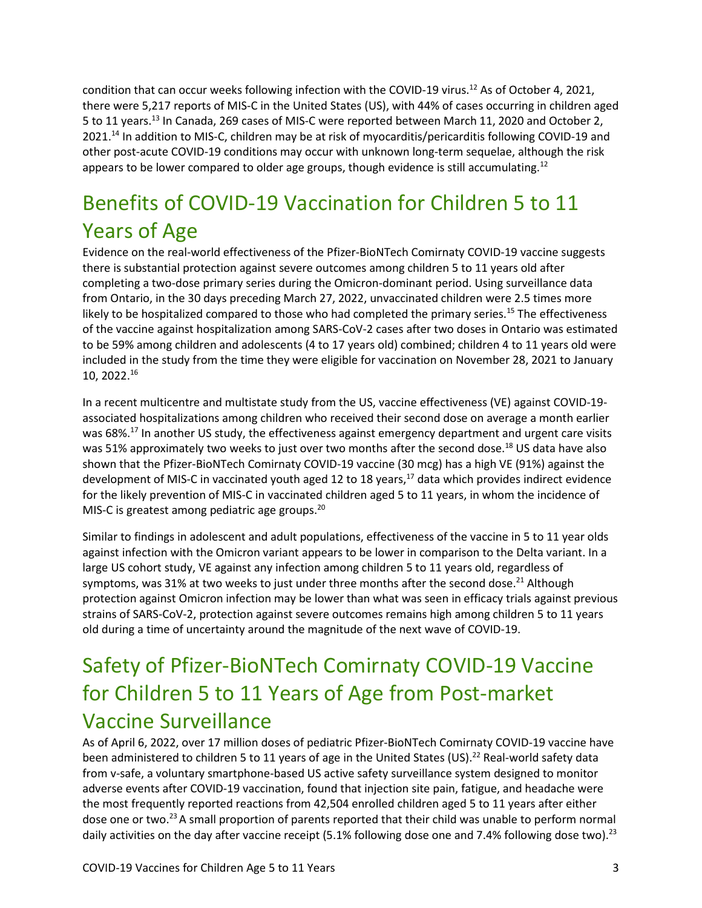condition that can occur weeks following infection with the COVID-19 virus.<sup>12</sup> As of October 4, 2021, there were 5,217 reports of MIS-C in the United States (US), with 44% of cases occurring in children aged 5 to 11 years.13 In Canada, 269 cases of MIS-C were reported between March 11, 2020 and October 2, 2021.<sup>14</sup> In addition to MIS-C, children may be at risk of myocarditis/pericarditis following COVID-19 and other post-acute COVID-19 conditions may occur with unknown long-term sequelae, although the risk appears to be lower compared to older age groups, though evidence is still accumulating.<sup>12</sup>

# Benefits of COVID-19 Vaccination for Children 5 to 11 Years of Age

Evidence on the real-world effectiveness of the Pfizer-BioNTech Comirnaty COVID-19 vaccine suggests there is substantial protection against severe outcomes among children 5 to 11 years old after completing a two-dose primary series during the Omicron-dominant period. Using surveillance data from Ontario, in the 30 days preceding March 27, 2022, unvaccinated children were 2.5 times more likely to be hospitalized compared to those who had completed the primary series.<sup>15</sup> The effectiveness of the vaccine against hospitalization among SARS-CoV-2 cases after two doses in Ontario was estimated to be 59% among children and adolescents (4 to 17 years old) combined; children 4 to 11 years old were included in the study from the time they were eligible for vaccination on November 28, 2021 to January 10, 2022.16

In a recent multicentre and multistate study from the US, vaccine effectiveness (VE) against COVID-19 associated hospitalizations among children who received their second dose on average a month earlier was 68%.<sup>17</sup> In another US study, the effectiveness against emergency department and urgent care visits was 51% approximately two weeks to just over two months after the second dose.<sup>18</sup> US data have also shown that the Pfizer-BioNTech Comirnaty COVID-19 vaccine (30 mcg) has a high VE (91%) against the development of MIS-C in vaccinated youth aged 12 to 18 years, <sup>17</sup> data which provides indirect evidence for the likely prevention of MIS-C in vaccinated children aged 5 to 11 years, in whom the incidence of MIS-C is greatest among pediatric age groups.<sup>20</sup>

Similar to findings in adolescent and adult populations, effectiveness of the vaccine in 5 to 11 year olds against infection with the Omicron variant appears to be lower in comparison to the Delta variant. In a large US cohort study, VE against any infection among children 5 to 11 years old, regardless of symptoms, was 31% at two weeks to just under three months after the second dose.<sup>21</sup> Although protection against Omicron infection may be lower than what was seen in efficacy trials against previous strains of SARS-CoV-2, protection against severe outcomes remains high among children 5 to 11 years old during a time of uncertainty around the magnitude of the next wave of COVID-19.

# Safety of Pfizer-BioNTech Comirnaty COVID-19 Vaccine for Children 5 to 11 Years of Age from Post-market Vaccine Surveillance

As of April 6, 2022, over 17 million doses of pediatric Pfizer-BioNTech Comirnaty COVID-19 vaccine have been administered to children 5 to 11 years of age in the United States (US).<sup>22</sup> Real-world safety data from v-safe, a voluntary smartphone-based US active safety surveillance system designed to monitor adverse events after COVID-19 vaccination, found that injection site pain, fatigue, and headache were the most frequently reported reactions from 42,504 enrolled children aged 5 to 11 years after either dose one or two.<sup>23</sup> A small proportion of parents reported that their child was unable to perform normal daily activities on the day after vaccine receipt (5.1% following dose one and 7.4% following dose two).<sup>23</sup>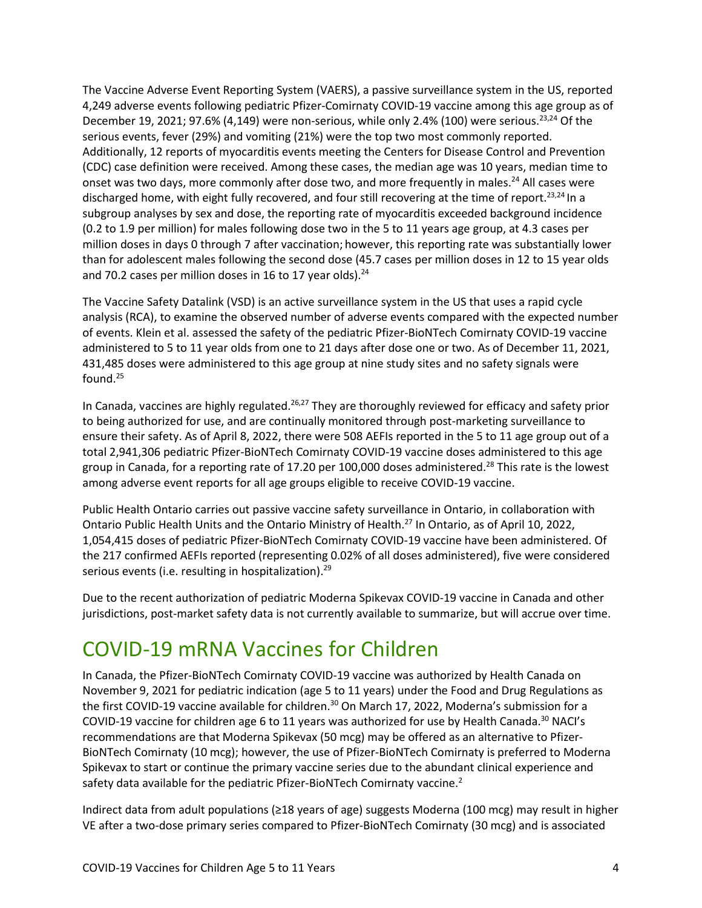The Vaccine Adverse Event Reporting System (VAERS), a passive surveillance system in the US, reported 4,249 adverse events following pediatric Pfizer-Comirnaty COVID-19 vaccine among this age group as of December 19, 2021; 97.6% (4,149) were non-serious, while only 2.4% (100) were serious.<sup>23,24</sup> Of the serious events, fever (29%) and vomiting (21%) were the top two most commonly reported. Additionally, 12 reports of myocarditis events meeting the Centers for Disease Control and Prevention (CDC) case definition were received. Among these cases, the median age was 10 years, median time to onset was two days, more commonly after dose two, and more frequently in males.<sup>24</sup> All cases were discharged home, with eight fully recovered, and four still recovering at the time of report.23,24 In a subgroup analyses by sex and dose, the reporting rate of myocarditis exceeded background incidence (0.2 to 1.9 per million) for males following dose two in the 5 to 11 years age group, at 4.3 cases per million doses in days 0 through 7 after vaccination; however, this reporting rate was substantially lower than for adolescent males following the second dose (45.7 cases per million doses in 12 to 15 year olds and 70.2 cases per million doses in 16 to 17 year olds). $^{24}$ 

The Vaccine Safety Datalink (VSD) is an active surveillance system in the US that uses a rapid cycle analysis (RCA), to examine the observed number of adverse events compared with the expected number of events. Klein et al. assessed the safety of the pediatric Pfizer-BioNTech Comirnaty COVID-19 vaccine administered to 5 to 11 year olds from one to 21 days after dose one or two. As of December 11, 2021, 431,485 doses were administered to this age group at nine study sites and no safety signals were found. $25$ 

In Canada, vaccines are highly regulated.<sup>26,27</sup> They are thoroughly reviewed for efficacy and safety prior to being authorized for use, and are continually monitored through post-marketing surveillance to ensure their safety. As of April 8, 2022, there were 508 AEFIs reported in the 5 to 11 age group out of a total 2,941,306 pediatric Pfizer-BioNTech Comirnaty COVID-19 vaccine doses administered to this age group in Canada, for a reporting rate of 17.20 per 100,000 doses administered.<sup>28</sup> This rate is the lowest among adverse event reports for all age groups eligible to receive COVID-19 vaccine.

Public Health Ontario carries out passive vaccine safety surveillance in Ontario, in collaboration with Ontario Public Health Units and the Ontario Ministry of Health.27 In Ontario, as of April 10, 2022, 1,054,415 doses of pediatric Pfizer-BioNTech Comirnaty COVID-19 vaccine have been administered. Of the 217 confirmed AEFIs reported (representing 0.02% of all doses administered), five were considered serious events (i.e. resulting in hospitalization).<sup>29</sup>

Due to the recent authorization of pediatric Moderna Spikevax COVID-19 vaccine in Canada and other jurisdictions, post-market safety data is not currently available to summarize, but will accrue over time.

## COVID-19 mRNA Vaccines for Children

In Canada, the Pfizer-BioNTech Comirnaty COVID-19 vaccine was authorized by Health Canada on November 9, 2021 for pediatric indication (age 5 to 11 years) under the Food and Drug Regulations as the first COVID-19 vaccine available for children.<sup>30</sup> On March 17, 2022, Moderna's submission for a COVID-19 vaccine for children age 6 to 11 years was authorized for use by Health Canada.<sup>30</sup> NACI's recommendations are that Moderna Spikevax (50 mcg) may be offered as an alternative to Pfizer-BioNTech Comirnaty (10 mcg); however, the use of Pfizer-BioNTech Comirnaty is preferred to Moderna Spikevax to start or continue the primary vaccine series due to the abundant clinical experience and safety data available for the pediatric Pfizer-BioNTech Comirnaty vaccine.<sup>2</sup>

Indirect data from adult populations (≥18 years of age) suggests Moderna (100 mcg) may result in higher VE after a two-dose primary series compared to Pfizer-BioNTech Comirnaty (30 mcg) and is associated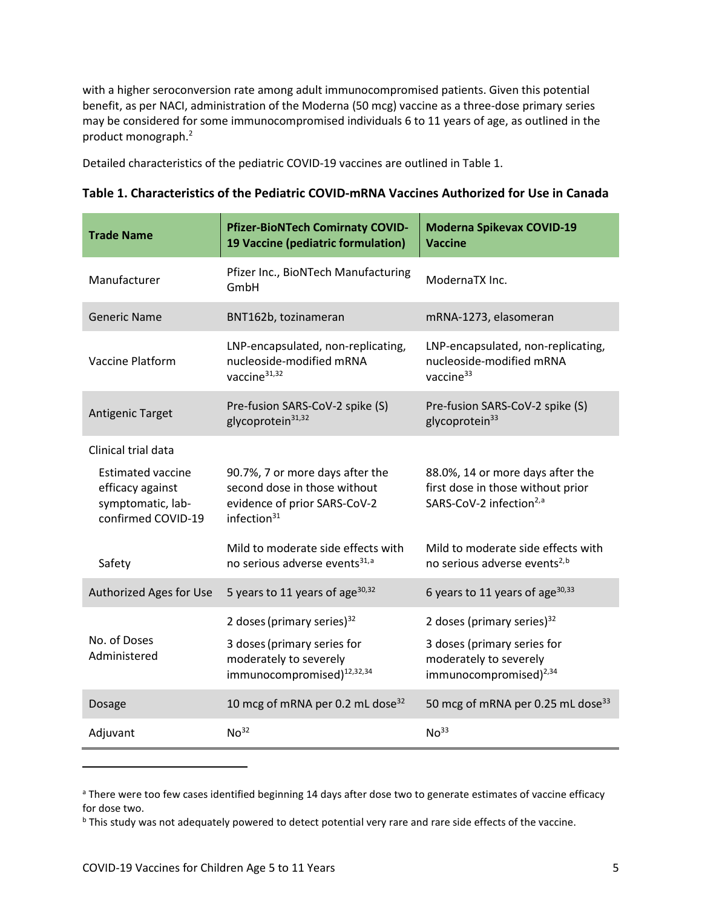with a higher seroconversion rate among adult immunocompromised patients. Given this potential benefit, as per NACI, administration of the Moderna (50 mcg) vaccine as a three-dose primary series may be considered for some immunocompromised individuals 6 to 11 years of age, as outlined in the product monograph.2

Detailed characteristics of the pediatric COVID-19 vaccines are outlined in Table 1.

| <b>Trade Name</b>                                                                       | <b>Pfizer-BioNTech Comirnaty COVID-</b><br>19 Vaccine (pediatric formulation)                                     | <b>Moderna Spikevax COVID-19</b><br><b>Vaccine</b>                                                           |
|-----------------------------------------------------------------------------------------|-------------------------------------------------------------------------------------------------------------------|--------------------------------------------------------------------------------------------------------------|
| Manufacturer                                                                            | Pfizer Inc., BioNTech Manufacturing<br>GmbH                                                                       | ModernaTX Inc.                                                                                               |
| <b>Generic Name</b>                                                                     | BNT162b, tozinameran                                                                                              | mRNA-1273, elasomeran                                                                                        |
| <b>Vaccine Platform</b>                                                                 | LNP-encapsulated, non-replicating,<br>nucleoside-modified mRNA<br>vaccine <sup>31,32</sup>                        | LNP-encapsulated, non-replicating,<br>nucleoside-modified mRNA<br>vaccine <sup>33</sup>                      |
| <b>Antigenic Target</b>                                                                 | Pre-fusion SARS-CoV-2 spike (S)<br>glycoprotein <sup>31,32</sup>                                                  | Pre-fusion SARS-CoV-2 spike (S)<br>glycoprotein <sup>33</sup>                                                |
| Clinical trial data                                                                     |                                                                                                                   |                                                                                                              |
| <b>Estimated vaccine</b><br>efficacy against<br>symptomatic, lab-<br>confirmed COVID-19 | 90.7%, 7 or more days after the<br>second dose in those without<br>evidence of prior SARS-CoV-2<br>infection $31$ | 88.0%, 14 or more days after the<br>first dose in those without prior<br>SARS-CoV-2 infection <sup>2,a</sup> |
| Safety                                                                                  | Mild to moderate side effects with<br>no serious adverse events <sup>31,a</sup>                                   | Mild to moderate side effects with<br>no serious adverse events <sup>2,b</sup>                               |
| Authorized Ages for Use                                                                 | 5 years to 11 years of age <sup>30,32</sup>                                                                       | 6 years to 11 years of age <sup>30,33</sup>                                                                  |
|                                                                                         | 2 doses (primary series) <sup>32</sup>                                                                            | 2 doses (primary series) $32$                                                                                |
| No. of Doses<br>Administered                                                            | 3 doses (primary series for<br>moderately to severely<br>immunocompromised) <sup>12,32,34</sup>                   | 3 doses (primary series for<br>moderately to severely<br>immunocompromised) $^{2,34}$                        |
| Dosage                                                                                  | 10 mcg of mRNA per 0.2 mL dose <sup>32</sup>                                                                      | 50 mcg of mRNA per 0.25 mL dose <sup>33</sup>                                                                |
| Adjuvant                                                                                | No <sup>32</sup>                                                                                                  | No <sup>33</sup>                                                                                             |

<span id="page-4-1"></span><span id="page-4-0"></span><sup>&</sup>lt;sup>a</sup> There were too few cases identified beginning 14 days after dose two to generate estimates of vaccine efficacy for dose two.<br><sup>b</sup> This study was not adequately powered to detect potential very rare and rare side effects of the vaccine.

l

<span id="page-4-2"></span>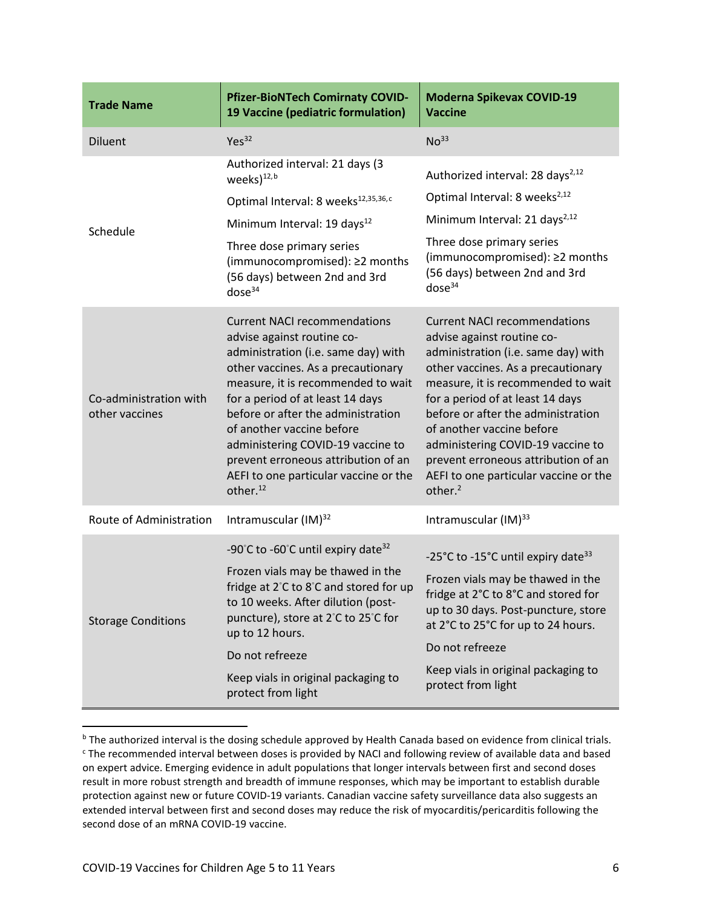| <b>Trade Name</b>                        | <b>Pfizer-BioNTech Comirnaty COVID-</b><br>19 Vaccine (pediatric formulation)                                                                                                                                                                                                                                                                                                                                                            | <b>Moderna Spikevax COVID-19</b><br><b>Vaccine</b>                                                                                                                                                                                                                                                                                                                                                                                      |
|------------------------------------------|------------------------------------------------------------------------------------------------------------------------------------------------------------------------------------------------------------------------------------------------------------------------------------------------------------------------------------------------------------------------------------------------------------------------------------------|-----------------------------------------------------------------------------------------------------------------------------------------------------------------------------------------------------------------------------------------------------------------------------------------------------------------------------------------------------------------------------------------------------------------------------------------|
| <b>Diluent</b>                           | Yes <sup>32</sup>                                                                                                                                                                                                                                                                                                                                                                                                                        | No <sup>33</sup>                                                                                                                                                                                                                                                                                                                                                                                                                        |
| Schedule                                 | Authorized interval: 21 days (3<br>weeks) <sup>12,b</sup>                                                                                                                                                                                                                                                                                                                                                                                | Authorized interval: 28 days <sup>2,12</sup>                                                                                                                                                                                                                                                                                                                                                                                            |
|                                          | Optimal Interval: 8 weeks <sup>12,35,36,c</sup>                                                                                                                                                                                                                                                                                                                                                                                          | Optimal Interval: 8 weeks <sup>2,12</sup>                                                                                                                                                                                                                                                                                                                                                                                               |
|                                          | Minimum Interval: 19 days <sup>12</sup>                                                                                                                                                                                                                                                                                                                                                                                                  | Minimum Interval: 21 days <sup>2,12</sup>                                                                                                                                                                                                                                                                                                                                                                                               |
|                                          | Three dose primary series<br>(immunocompromised): ≥2 months<br>(56 days) between 2nd and 3rd<br>dose <sup>34</sup>                                                                                                                                                                                                                                                                                                                       | Three dose primary series<br>(immunocompromised): ≥2 months<br>(56 days) between 2nd and 3rd<br>dose <sup>34</sup>                                                                                                                                                                                                                                                                                                                      |
| Co-administration with<br>other vaccines | <b>Current NACI recommendations</b><br>advise against routine co-<br>administration (i.e. same day) with<br>other vaccines. As a precautionary<br>measure, it is recommended to wait<br>for a period of at least 14 days<br>before or after the administration<br>of another vaccine before<br>administering COVID-19 vaccine to<br>prevent erroneous attribution of an<br>AEFI to one particular vaccine or the<br>other. <sup>12</sup> | <b>Current NACI recommendations</b><br>advise against routine co-<br>administration (i.e. same day) with<br>other vaccines. As a precautionary<br>measure, it is recommended to wait<br>for a period of at least 14 days<br>before or after the administration<br>of another vaccine before<br>administering COVID-19 vaccine to<br>prevent erroneous attribution of an<br>AEFI to one particular vaccine or the<br>other. <sup>2</sup> |
| Route of Administration                  | Intramuscular (IM) <sup>32</sup>                                                                                                                                                                                                                                                                                                                                                                                                         | Intramuscular (IM) <sup>33</sup>                                                                                                                                                                                                                                                                                                                                                                                                        |
| <b>Storage Conditions</b>                | -90°C to -60°C until expiry date <sup>32</sup><br>Frozen vials may be thawed in the<br>fridge at 2°C to 8°C and stored for up<br>to 10 weeks. After dilution (post-<br>puncture), store at 2°C to 25°C for<br>up to 12 hours.                                                                                                                                                                                                            | -25°C to -15°C until expiry date <sup>33</sup>                                                                                                                                                                                                                                                                                                                                                                                          |
|                                          |                                                                                                                                                                                                                                                                                                                                                                                                                                          | Frozen vials may be thawed in the<br>fridge at 2°C to 8°C and stored for<br>up to 30 days. Post-puncture, store<br>at 2°C to 25°C for up to 24 hours.                                                                                                                                                                                                                                                                                   |
|                                          | Do not refreeze                                                                                                                                                                                                                                                                                                                                                                                                                          | Do not refreeze                                                                                                                                                                                                                                                                                                                                                                                                                         |
|                                          | Keep vials in original packaging to<br>protect from light                                                                                                                                                                                                                                                                                                                                                                                | Keep vials in original packaging to<br>protect from light                                                                                                                                                                                                                                                                                                                                                                               |

<span id="page-5-1"></span><span id="page-5-0"></span><sup>&</sup>lt;sup>b</sup> The authorized interval is the dosing schedule approved by Health Canada based on evidence from clinical trials. <sup>c</sup> The recommended interval between doses is provided by NACI and following review of available data and based on expert advice. Emerging evidence in adult populations that longer intervals between first and second doses result in more robust strength and breadth of immune responses, which may be important to establish durable protection against new or future COVID-19 variants. Canadian vaccine safety surveillance data also suggests an extended interval between first and second doses may reduce the risk of myocarditis/pericarditis following the second dose of an mRNA COVID-19 vaccine.

 $\overline{a}$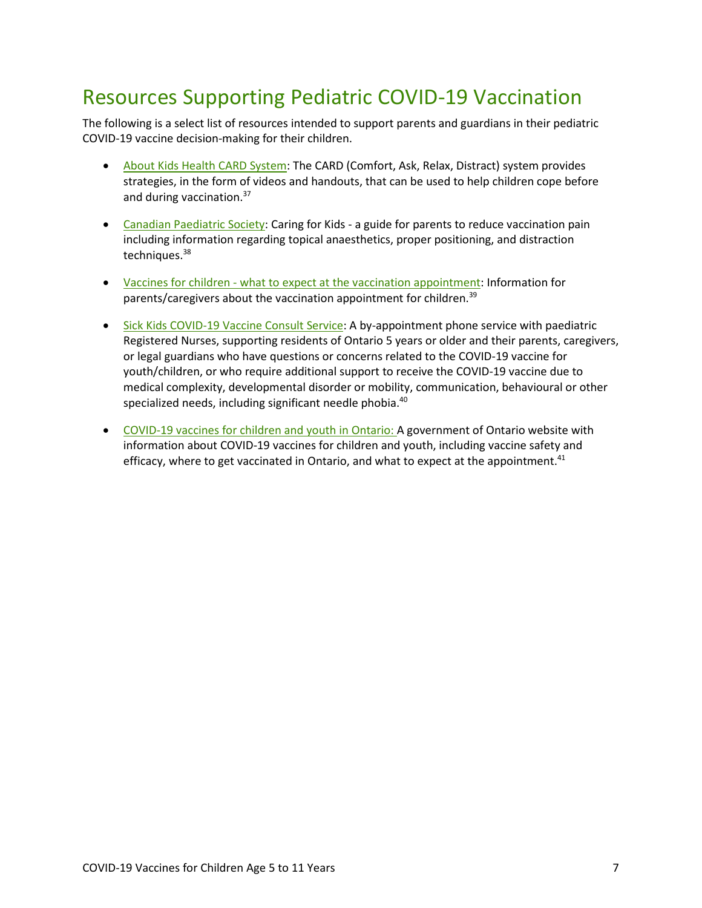### Resources Supporting Pediatric COVID-19 Vaccination

The following is a select list of resources intended to support parents and guardians in their pediatric COVID-19 vaccine decision-making for their children.

- [About Kids Health CARD System:](https://www.aboutkidshealth.ca/card) The CARD (Comfort, Ask, Relax, Distract) system provides strategies, in the form of videos and handouts, that can be used to help children cope before and during vaccination.<sup>37</sup>
- [Canadian Paediatric Society:](https://caringforkids.cps.ca/uploads/handout_images/painreduction_kidsandteens_e.pdf) Caring for Kids a guide for parents to reduce vaccination pain including information regarding topical anaesthetics, proper positioning, and distraction techniques.38
- [Vaccines for children what to expect at the vaccination appointment:](https://www.canada.ca/en/public-health/services/vaccination-children/what-to-expect-vaccination-appointment.html) Information for parents/caregivers about the vaccination appointment for children.<sup>39</sup>
- [Sick Kids COVID-19 Vaccine Consult Service:](https://www.sickkids.ca/en/care-services/support-services/covid-19-vaccine-consult/) A by-appointment phone service with paediatric Registered Nurses, supporting residents of Ontario 5 years or older and their parents, caregivers, or legal guardians who have questions or concerns related to the COVID-19 vaccine for youth/children, or who require additional support to receive the COVID-19 vaccine due to medical complexity, developmental disorder or mobility, communication, behavioural or other specialized needs, including significant needle phobia.<sup>40</sup>
- [COVID-19 vaccines for children and youth in Ontario: A](https://covid-19.ontario.ca/covid-19-vaccines-children-and-youth) government of Ontario website with information about COVID-19 vaccines for children and youth, including vaccine safety and efficacy, where to get vaccinated in Ontario, and what to expect at the appointment. $41$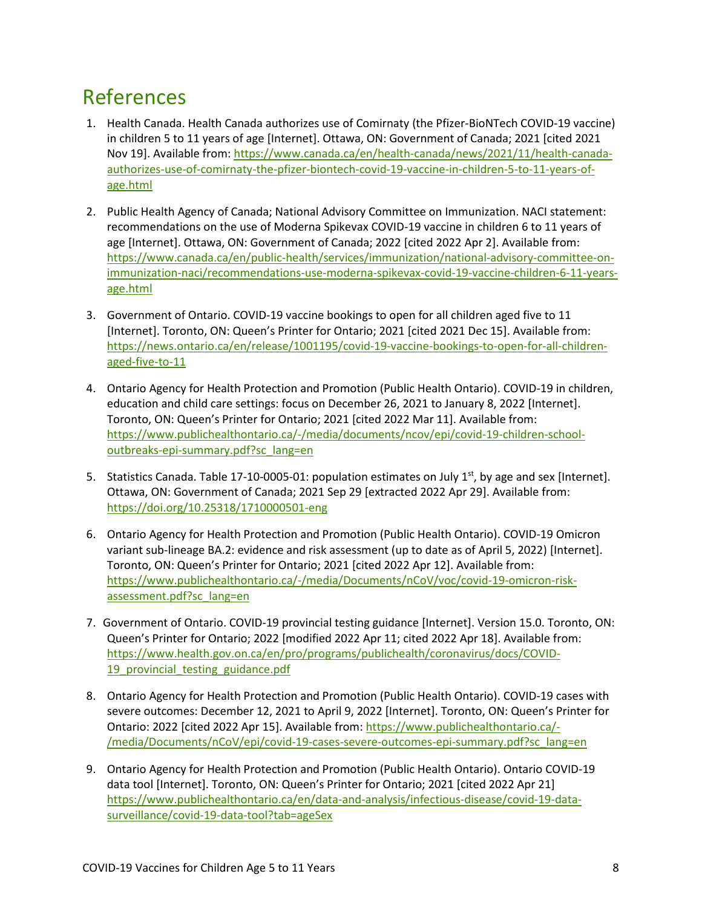### References

- 1. Health Canada. Health Canada authorizes use of Comirnaty (the Pfizer-BioNTech COVID-19 vaccine) in children 5 to 11 years of age [Internet]. Ottawa, ON: Government of Canada; 2021 [cited 2021 Nov 19]. Available from: [https://www.canada.ca/en/health-canada/news/2021/11/health-canada](https://www.canada.ca/en/health-canada/news/2021/11/health-canada-authorizes-use-of-comirnaty-the-pfizer-biontech-covid-19-vaccine-in-children-5-to-11-years-of-age.html)[authorizes-use-of-comirnaty-the-pfizer-biontech-covid-19-vaccine-in-children-5-to-11-years-of](https://www.canada.ca/en/health-canada/news/2021/11/health-canada-authorizes-use-of-comirnaty-the-pfizer-biontech-covid-19-vaccine-in-children-5-to-11-years-of-age.html)[age.html](https://www.canada.ca/en/health-canada/news/2021/11/health-canada-authorizes-use-of-comirnaty-the-pfizer-biontech-covid-19-vaccine-in-children-5-to-11-years-of-age.html)
- 2. Public Health Agency of Canada; National Advisory Committee on Immunization. NACI statement: recommendations on the use of Moderna Spikevax COVID-19 vaccine in children 6 to 11 years of age [Internet]. Ottawa, ON: Government of Canada; 2022 [cited 2022 Apr 2]. Available from: [https://www.canada.ca/en/public-health/services/immunization/national-advisory-committee-on](https://www.canada.ca/en/public-health/services/immunization/national-advisory-committee-on-immunization-naci/recommendations-use-moderna-spikevax-covid-19-vaccine-children-6-11-years-age.html)[immunization-naci/recommendations-use-moderna-spikevax-covid-19-vaccine-children-6-11-years](https://www.canada.ca/en/public-health/services/immunization/national-advisory-committee-on-immunization-naci/recommendations-use-moderna-spikevax-covid-19-vaccine-children-6-11-years-age.html)[age.html](https://www.canada.ca/en/public-health/services/immunization/national-advisory-committee-on-immunization-naci/recommendations-use-moderna-spikevax-covid-19-vaccine-children-6-11-years-age.html)
- 3. Government of Ontario. COVID-19 vaccine bookings to open for all children aged five to 11 [Internet]. Toronto, ON: Queen's Printer for Ontario; 2021 [cited 2021 Dec 15]. Available from: [https://news.ontario.ca/en/release/1001195/covid-19-vaccine-bookings-to-open-for-all-children](https://news.ontario.ca/en/release/1001195/covid-19-vaccine-bookings-to-open-for-all-children-aged-five-to-11)[aged-five-to-11](https://news.ontario.ca/en/release/1001195/covid-19-vaccine-bookings-to-open-for-all-children-aged-five-to-11)
- 4. Ontario Agency for Health Protection and Promotion (Public Health Ontario). COVID-19 in children, education and child care settings: focus on December 26, 2021 to January 8, 2022 [Internet]. Toronto, ON: Queen's Printer for Ontario; 2021 [cited 2022 Mar 11]. Available from: [https://www.publichealthontario.ca/-/media/documents/ncov/epi/covid-19-children-school](https://www.publichealthontario.ca/-/media/documents/ncov/epi/covid-19-children-school-outbreaks-epi-summary.pdf?sc_lang=en%20)[outbreaks-epi-summary.pdf?sc\\_lang=en](https://www.publichealthontario.ca/-/media/documents/ncov/epi/covid-19-children-school-outbreaks-epi-summary.pdf?sc_lang=en%20)
- 5. Statistics Canada. Table 17-10-0005-01: population estimates on July  $1<sup>st</sup>$ , by age and sex [Internet]. Ottawa, ON: Government of Canada; 2021 Sep 29 [extracted 2022 Apr 29]. Available from: <https://doi.org/10.25318/1710000501-eng>
- 6. Ontario Agency for Health Protection and Promotion (Public Health Ontario). COVID-19 Omicron variant sub-lineage BA.2: evidence and risk assessment (up to date as of April 5, 2022) [Internet]. Toronto, ON: Queen's Printer for Ontario; 2021 [cited 2022 Apr 12]. Available from: [https://www.publichealthontario.ca/-/media/Documents/nCoV/voc/covid-19-omicron-risk](https://www.publichealthontario.ca/-/media/Documents/nCoV/voc/covid-19-omicron-risk-assessment.pdf?sc_lang=en)[assessment.pdf?sc\\_lang=en](https://www.publichealthontario.ca/-/media/Documents/nCoV/voc/covid-19-omicron-risk-assessment.pdf?sc_lang=en)
- 7. Government of Ontario. COVID-19 provincial testing guidance [Internet]. Version 15.0. Toronto, ON: Queen's Printer for Ontario; 2022 [modified 2022 Apr 11; cited 2022 Apr 18]. Available from: [https://www.health.gov.on.ca/en/pro/programs/publichealth/coronavirus/docs/COVID-](https://www.health.gov.on.ca/en/pro/programs/publichealth/coronavirus/docs/COVID-19_provincial_testing_guidance.pdf)19 provincial testing guidance.pdf
- 8. Ontario Agency for Health Protection and Promotion (Public Health Ontario). COVID-19 cases with severe outcomes: December 12, 2021 to April 9, 2022 [Internet]. Toronto, ON: Queen's Printer for Ontario: 2022 [cited 2022 Apr 15]. Available from: [https://www.publichealthontario.ca/-](https://www.publichealthontario.ca/-/media/Documents/nCoV/epi/covid-19-cases-severe-outcomes-epi-summary.pdf?sc_lang=en) [/media/Documents/nCoV/epi/covid-19-cases-severe-outcomes-epi-summary.pdf?sc\\_lang=en](https://www.publichealthontario.ca/-/media/Documents/nCoV/epi/covid-19-cases-severe-outcomes-epi-summary.pdf?sc_lang=en)
- 9. Ontario Agency for Health Protection and Promotion (Public Health Ontario). Ontario COVID-19 data tool [Internet]. Toronto, ON: Queen's Printer for Ontario; 2021 [cited 2022 Apr 21] [https://www.publichealthontario.ca/en/data-and-analysis/infectious-disease/covid-19-data](https://www.publichealthontario.ca/en/data-and-analysis/infectious-disease/covid-19-data-surveillance/covid-19-data-tool?tab=ageSex)[surveillance/covid-19-data-tool?tab=ageSex](https://www.publichealthontario.ca/en/data-and-analysis/infectious-disease/covid-19-data-surveillance/covid-19-data-tool?tab=ageSex)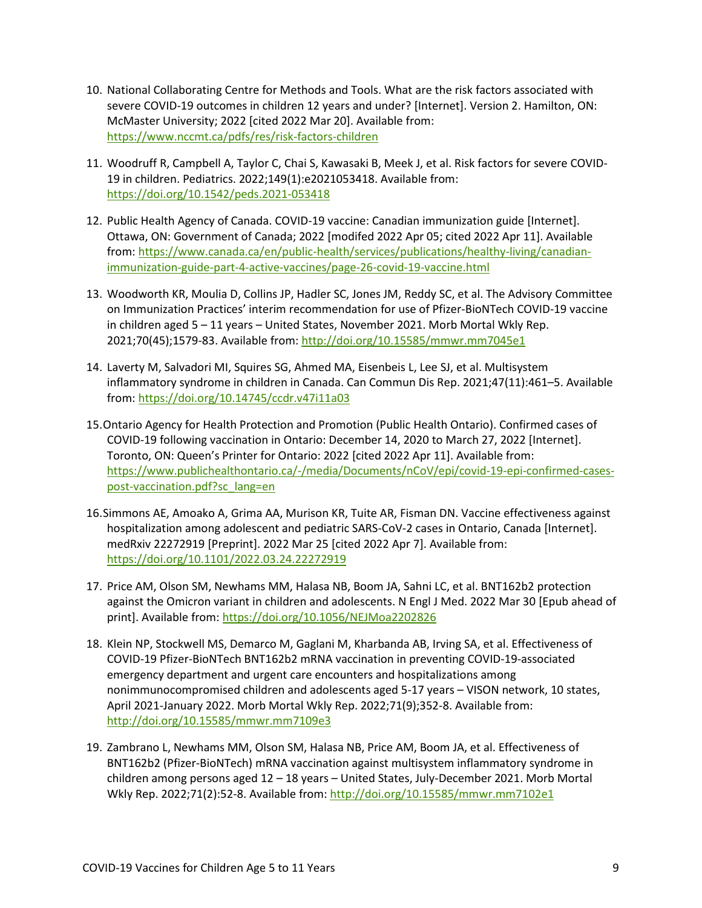- 10. National Collaborating Centre for Methods and Tools. What are the risk factors associated with severe COVID-19 outcomes in children 12 years and under? [Internet]. Version 2. Hamilton, ON: McMaster University; 2022 [cited 2022 Mar 20]. Available from: <https://www.nccmt.ca/pdfs/res/risk-factors-children>
- 11. Woodruff R, Campbell A, Taylor C, Chai S, Kawasaki B, Meek J, et al. Risk factors for severe COVID-19 in children. Pediatrics. 2022;149(1):e2021053418. Available from: <https://doi.org/10.1542/peds.2021-053418>
- 12. Public Health Agency of Canada. COVID-19 vaccine: Canadian immunization guide [Internet]. Ottawa, ON: Government of Canada; 2022 [modifed 2022 Apr 05; cited 2022 Apr 11]. Available from[: https://www.canada.ca/en/public-health/services/publications/healthy-living/canadian](https://www.canada.ca/en/public-health/services/publications/healthy-living/canadian-immunization-guide-part-4-active-vaccines/page-26-covid-19-vaccine.html)[immunization-guide-part-4-active-vaccines/page-26-covid-19-vaccine.html](https://www.canada.ca/en/public-health/services/publications/healthy-living/canadian-immunization-guide-part-4-active-vaccines/page-26-covid-19-vaccine.html)
- 13. Woodworth KR, Moulia D, Collins JP, Hadler SC, Jones JM, Reddy SC, et al. The Advisory Committee on Immunization Practices' interim recommendation for use of Pfizer-BioNTech COVID-19 vaccine in children aged 5 – 11 years – United States, November 2021. Morb Mortal Wkly Rep. 2021;70(45);1579-83. Available from: http://doi.org/10.15585/mmwr.mm7045e1
- 14. Laverty M, Salvadori MI, Squires SG, Ahmed MA, Eisenbeis L, Lee SJ, et al. Multisystem inflammatory syndrome in children in Canada. Can Commun Dis Rep. 2021;47(11):461–5. Available from: <https://doi.org/10.14745/ccdr.v47i11a03>
- 15.Ontario Agency for Health Protection and Promotion (Public Health Ontario). Confirmed cases of COVID-19 following vaccination in Ontario: December 14, 2020 to March 27, 2022 [Internet]. Toronto, ON: Queen's Printer for Ontario: 2022 [cited 2022 Apr 11]. Available from: [https://www.publichealthontario.ca/-/media/Documents/nCoV/epi/covid-19-epi-confirmed-cases](https://www.publichealthontario.ca/-/media/Documents/nCoV/epi/covid-19-epi-confirmed-cases-post-vaccination.pdf?sc_lang=en)[post-vaccination.pdf?sc\\_lang=en](https://www.publichealthontario.ca/-/media/Documents/nCoV/epi/covid-19-epi-confirmed-cases-post-vaccination.pdf?sc_lang=en)
- 16.Simmons AE, Amoako A, Grima AA, Murison KR, Tuite AR, Fisman DN. Vaccine effectiveness against hospitalization among adolescent and pediatric SARS-CoV-2 cases in Ontario, Canada [Internet]. medRxiv 22272919 [Preprint]. 2022 Mar 25 [cited 2022 Apr 7]. Available from: <https://doi.org/10.1101/2022.03.24.22272919>
- 17. Price AM, Olson SM, Newhams MM, Halasa NB, Boom JA, Sahni LC, et al. BNT162b2 protection against the Omicron variant in children and adolescents. N Engl J Med. 2022 Mar 30 [Epub ahead of print]. Available from:<https://doi.org/10.1056/NEJMoa2202826>
- 18. Klein NP, Stockwell MS, Demarco M, Gaglani M, Kharbanda AB, Irving SA, et al. Effectiveness of COVID-19 Pfizer-BioNTech BNT162b2 mRNA vaccination in preventing COVID-19-associated emergency department and urgent care encounters and hospitalizations among nonimmunocompromised children and adolescents aged 5-17 years – VISON network, 10 states, April 2021-January 2022. Morb Mortal Wkly Rep. 2022;71(9);352-8. Available from: <http://doi.org/10.15585/mmwr.mm7109e3>
- 19. Zambrano L, Newhams MM, Olson SM, Halasa NB, Price AM, Boom JA, et al. Effectiveness of BNT162b2 (Pfizer-BioNTech) mRNA vaccination against multisystem inflammatory syndrome in children among persons aged 12 – 18 years – United States, July-December 2021. Morb Mortal Wkly Rep. 2022;71(2):52-8. Available from: <http://doi.org/10.15585/mmwr.mm7102e1>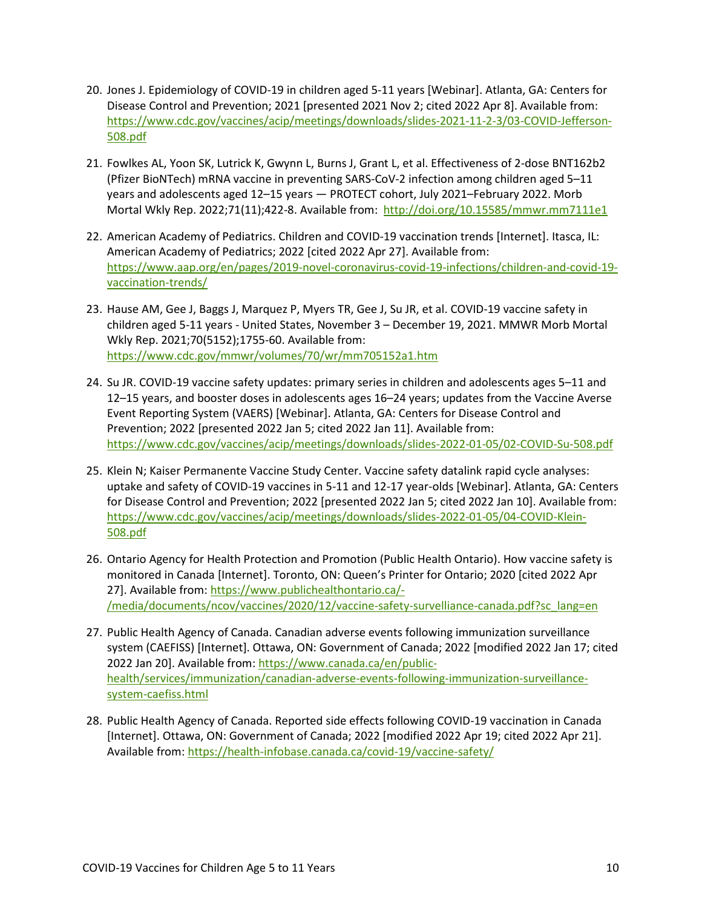- 20. Jones J. Epidemiology of COVID-19 in children aged 5-11 years [Webinar]. Atlanta, GA: Centers for Disease Control and Prevention; 2021 [presented 2021 Nov 2; cited 2022 Apr 8]. Available from: [https://www.cdc.gov/vaccines/acip/meetings/downloads/slides-2021-11-2-3/03-COVID-Jefferson-](https://www.cdc.gov/vaccines/acip/meetings/downloads/slides-2021-11-2-3/03-COVID-Jefferson-508.pdf)[508.pdf](https://www.cdc.gov/vaccines/acip/meetings/downloads/slides-2021-11-2-3/03-COVID-Jefferson-508.pdf)
- 21. Fowlkes AL, Yoon SK, Lutrick K, Gwynn L, Burns J, Grant L, et al. Effectiveness of 2-dose BNT162b2 (Pfizer BioNTech) mRNA vaccine in preventing SARS-CoV-2 infection among children aged 5–11 years and adolescents aged 12–15 years — PROTECT cohort, July 2021–February 2022. Morb Mortal Wkly Rep. 2022;71(11);422-8. Available from: http://doi.org/10.15585/mmwr.mm7111e1
- 22. American Academy of Pediatrics. Children and COVID-19 vaccination trends [Internet]. Itasca, IL: American Academy of Pediatrics; 2022 [cited 2022 Apr 27]. Available from: [https://www.aap.org/en/pages/2019-novel-coronavirus-covid-19-infections/children-and-covid-19](https://www.aap.org/en/pages/2019-novel-coronavirus-covid-19-infections/children-and-covid-19-vaccination-trends/) [vaccination-trends/](https://www.aap.org/en/pages/2019-novel-coronavirus-covid-19-infections/children-and-covid-19-vaccination-trends/)
- 23. Hause AM, Gee J, Baggs J, Marquez P, Myers TR, Gee J, Su JR, et al. COVID-19 vaccine safety in children aged 5-11 years - United States, November 3 – December 19, 2021. MMWR Morb Mortal Wkly Rep. 2021;70(5152);1755-60. Available from: <https://www.cdc.gov/mmwr/volumes/70/wr/mm705152a1.htm>
- 24. Su JR. COVID-19 vaccine safety updates: primary series in children and adolescents ages 5–11 and 12–15 years, and booster doses in adolescents ages 16–24 years; updates from the Vaccine Averse Event Reporting System (VAERS) [Webinar]. Atlanta, GA: Centers for Disease Control and Prevention; 2022 [presented 2022 Jan 5; cited 2022 Jan 11]. Available from: <https://www.cdc.gov/vaccines/acip/meetings/downloads/slides-2022-01-05/02-COVID-Su-508.pdf>
- 25. Klein N; Kaiser Permanente Vaccine Study Center. Vaccine safety datalink rapid cycle analyses: uptake and safety of COVID-19 vaccines in 5-11 and 12-17 year-olds [Webinar]. Atlanta, GA: Centers for Disease Control and Prevention; 2022 [presented 2022 Jan 5; cited 2022 Jan 10]. Available from: [https://www.cdc.gov/vaccines/acip/meetings/downloads/slides-2022-01-05/04-COVID-Klein-](https://www.cdc.gov/vaccines/acip/meetings/downloads/slides-2022-01-05/04-COVID-Klein-508.pdf)[508.pdf](https://www.cdc.gov/vaccines/acip/meetings/downloads/slides-2022-01-05/04-COVID-Klein-508.pdf)
- 26. Ontario Agency for Health Protection and Promotion (Public Health Ontario). How vaccine safety is monitored in Canada [Internet]. Toronto, ON: Queen's Printer for Ontario; 2020 [cited 2022 Apr 27]. Available from[: https://www.publichealthontario.ca/-](https://www.publichealthontario.ca/-/media/documents/ncov/vaccines/2020/12/vaccine-safety-survelliance-canada.pdf?sc_lang=en) [/media/documents/ncov/vaccines/2020/12/vaccine-safety-survelliance-canada.pdf?sc\\_lang=en](https://www.publichealthontario.ca/-/media/documents/ncov/vaccines/2020/12/vaccine-safety-survelliance-canada.pdf?sc_lang=en)
- 27. Public Health Agency of Canada. Canadian adverse events following immunization surveillance system (CAEFISS) [Internet]. Ottawa, ON: Government of Canada; 2022 [modified 2022 Jan 17; cited 2022 Jan 20]. Available from[: https://www.canada.ca/en/public](https://www.canada.ca/en/public-health/services/immunization/canadian-adverse-events-following-immunization-surveillance-system-caefiss.html)[health/services/immunization/canadian-adverse-events-following-immunization-surveillance](https://www.canada.ca/en/public-health/services/immunization/canadian-adverse-events-following-immunization-surveillance-system-caefiss.html)[system-caefiss.html](https://www.canada.ca/en/public-health/services/immunization/canadian-adverse-events-following-immunization-surveillance-system-caefiss.html)
- 28. Public Health Agency of Canada. Reported side effects following COVID-19 vaccination in Canada [Internet]. Ottawa, ON: Government of Canada; 2022 [modified 2022 Apr 19; cited 2022 Apr 21]. Available from[: https://health-infobase.canada.ca/covid-19/vaccine-safety/](https://health-infobase.canada.ca/covid-19/vaccine-safety/)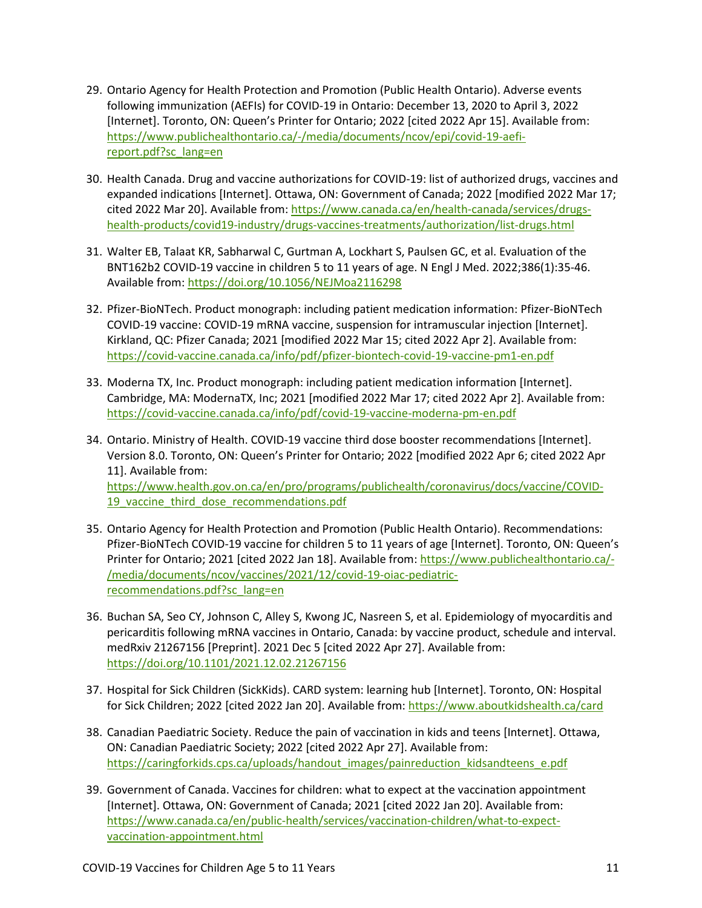- 29. Ontario Agency for Health Protection and Promotion (Public Health Ontario). Adverse events following immunization (AEFIs) for COVID-19 in Ontario: December 13, 2020 to April 3, 2022 [Internet]. Toronto, ON: Queen's Printer for Ontario; 2022 [cited 2022 Apr 15]. Available from: [https://www.publichealthontario.ca/-/media/documents/ncov/epi/covid-19-aefi](https://www.publichealthontario.ca/-/media/documents/ncov/epi/covid-19-aefi-report.pdf?sc_lang=en)[report.pdf?sc\\_lang=en](https://www.publichealthontario.ca/-/media/documents/ncov/epi/covid-19-aefi-report.pdf?sc_lang=en)
- 30. Health Canada. Drug and vaccine authorizations for COVID-19: list of authorized drugs, vaccines and expanded indications [Internet]. Ottawa, ON: Government of Canada; 2022 [modified 2022 Mar 17; cited 2022 Mar 20]. Available from: [https://www.canada.ca/en/health-canada/services/drugs](https://www.canada.ca/en/health-canada/services/drugs-health-products/covid19-industry/drugs-vaccines-treatments/authorization/list-drugs.html)[health-products/covid19-industry/drugs-vaccines-treatments/authorization/list-drugs.html](https://www.canada.ca/en/health-canada/services/drugs-health-products/covid19-industry/drugs-vaccines-treatments/authorization/list-drugs.html)
- 31. Walter EB, Talaat KR, Sabharwal C, Gurtman A, Lockhart S, Paulsen GC, et al. Evaluation of the BNT162b2 COVID-19 vaccine in children 5 to 11 years of age. N Engl J Med. 2022;386(1):35-46. Available from[: https://doi.org/10.1056/NEJMoa2116298](https://doi.org/10.1056/NEJMoa2116298)
- 32. Pfizer-BioNTech. Product monograph: including patient medication information: Pfizer-BioNTech COVID-19 vaccine: COVID-19 mRNA vaccine, suspension for intramuscular injection [Internet]. Kirkland, QC: Pfizer Canada; 2021 [modified 2022 Mar 15; cited 2022 Apr 2]. Available from: <https://covid-vaccine.canada.ca/info/pdf/pfizer-biontech-covid-19-vaccine-pm1-en.pdf>
- 33. Moderna TX, Inc. Product monograph: including patient medication information [Internet]. Cambridge, MA: ModernaTX, Inc; 2021 [modified 2022 Mar 17; cited 2022 Apr 2]. Available from: <https://covid-vaccine.canada.ca/info/pdf/covid-19-vaccine-moderna-pm-en.pdf>
- 34. Ontario. Ministry of Health. COVID-19 vaccine third dose booster recommendations [Internet]. Version 8.0. Toronto, ON: Queen's Printer for Ontario; 2022 [modified 2022 Apr 6; cited 2022 Apr 11]. Available from: [https://www.health.gov.on.ca/en/pro/programs/publichealth/coronavirus/docs/vaccine/COVID-](https://www.health.gov.on.ca/en/pro/programs/publichealth/coronavirus/docs/vaccine/COVID-19_vaccine_third_dose_recommendations.pdf)19 vaccine third dose recommendations.pdf
- 35. Ontario Agency for Health Protection and Promotion (Public Health Ontario). Recommendations: Pfizer-BioNTech COVID-19 vaccine for children 5 to 11 years of age [Internet]. Toronto, ON: Queen's Printer for Ontario; 2021 [cited 2022 Jan 18]. Available from[: https://www.publichealthontario.ca/-](https://www.publichealthontario.ca/-/media/documents/ncov/vaccines/2021/12/covid-19-oiac-pediatric-recommendations.pdf?sc_lang=en) [/media/documents/ncov/vaccines/2021/12/covid-19-oiac-pediatric](https://www.publichealthontario.ca/-/media/documents/ncov/vaccines/2021/12/covid-19-oiac-pediatric-recommendations.pdf?sc_lang=en)[recommendations.pdf?sc\\_lang=en](https://www.publichealthontario.ca/-/media/documents/ncov/vaccines/2021/12/covid-19-oiac-pediatric-recommendations.pdf?sc_lang=en)
- 36. Buchan SA, Seo CY, Johnson C, Alley S, Kwong JC, Nasreen S, et al. Epidemiology of myocarditis and pericarditis following mRNA vaccines in Ontario, Canada: by vaccine product, schedule and interval. medRxiv 21267156 [Preprint]. 2021 Dec 5 [cited 2022 Apr 27]. Available from: <https://doi.org/10.1101/2021.12.02.21267156>
- 37. Hospital for Sick Children (SickKids). CARD system: learning hub [Internet]. Toronto, ON: Hospital for Sick Children; 2022 [cited 2022 Jan 20]. Available from:<https://www.aboutkidshealth.ca/card>
- 38. Canadian Paediatric Society. Reduce the pain of vaccination in kids and teens [Internet]. Ottawa, ON: Canadian Paediatric Society; 2022 [cited 2022 Apr 27]. Available from: [https://caringforkids.cps.ca/uploads/handout\\_images/painreduction\\_kidsandteens\\_e.pdf](https://caringforkids.cps.ca/uploads/handout_images/painreduction_kidsandteens_e.pdf)
- 39. Government of Canada. Vaccines for children: what to expect at the vaccination appointment [Internet]. Ottawa, ON: Government of Canada; 2021 [cited 2022 Jan 20]. Available from: [https://www.canada.ca/en/public-health/services/vaccination-children/what-to-expect](https://www.canada.ca/en/public-health/services/vaccination-children/what-to-expect-vaccination-appointment.html)[vaccination-appointment.html](https://www.canada.ca/en/public-health/services/vaccination-children/what-to-expect-vaccination-appointment.html)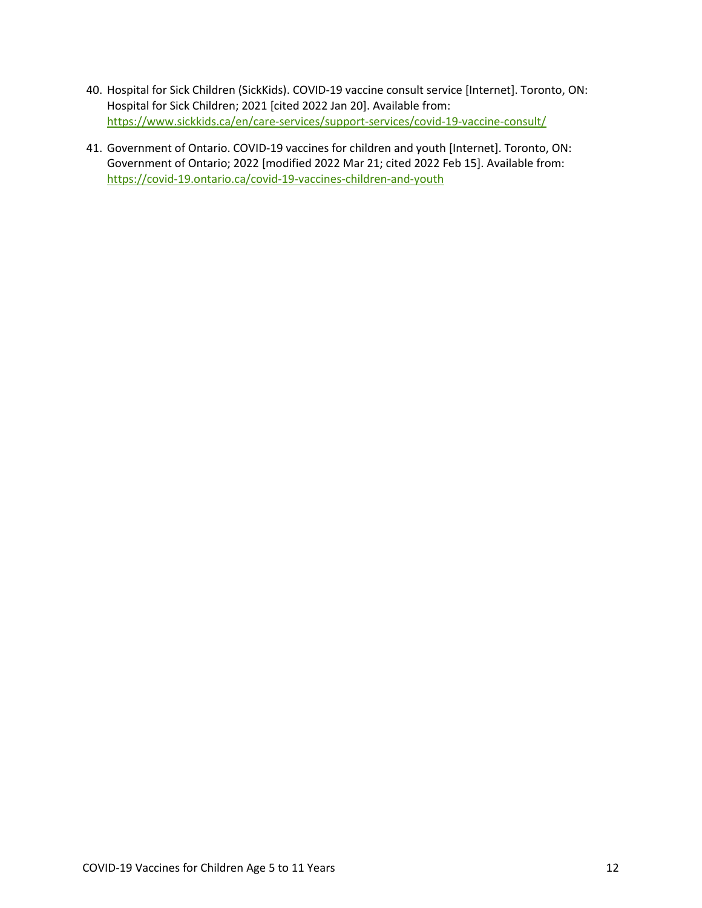- 40. Hospital for Sick Children (SickKids). COVID-19 vaccine consult service [Internet]. Toronto, ON: Hospital for Sick Children; 2021 [cited 2022 Jan 20]. Available from: <https://www.sickkids.ca/en/care-services/support-services/covid-19-vaccine-consult/>
- 41. Government of Ontario. COVID-19 vaccines for children and youth [Internet]. Toronto, ON: Government of Ontario; 2022 [modified 2022 Mar 21; cited 2022 Feb 15]. Available from: <https://covid-19.ontario.ca/covid-19-vaccines-children-and-youth>